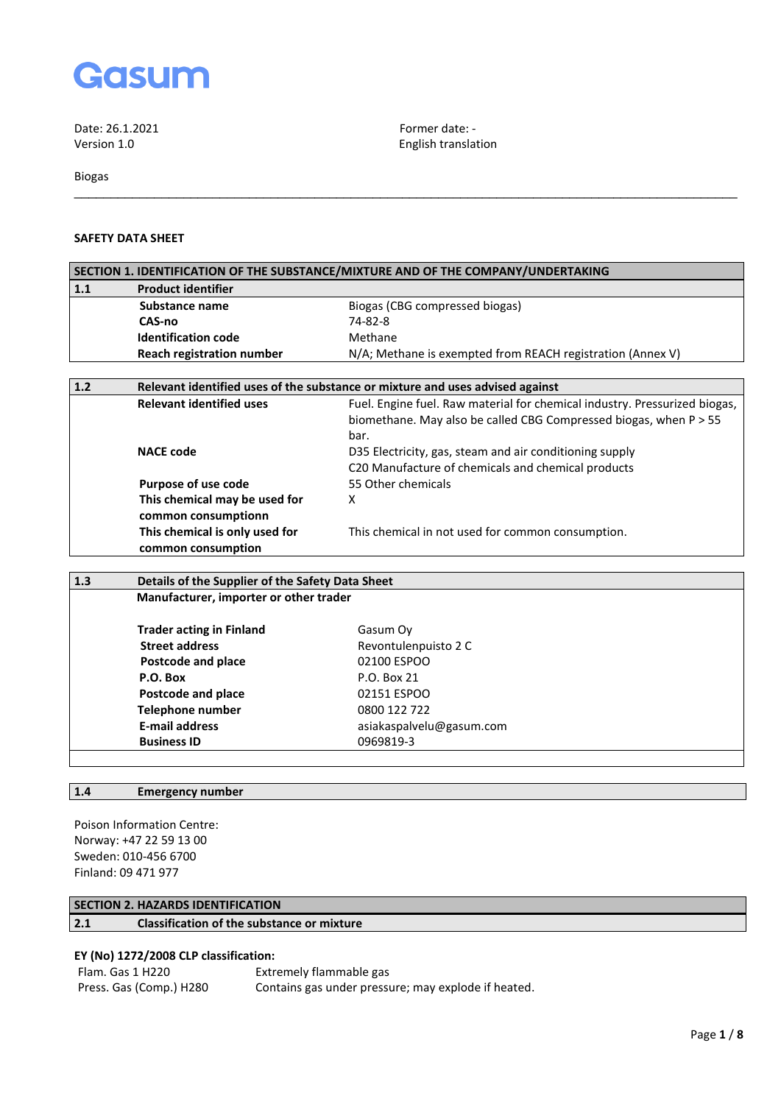

Biogas

# **SAFETY DATA SHEET**

|       | SECTION 1. IDENTIFICATION OF THE SUBSTANCE/MIXTURE AND OF THE COMPANY/UNDERTAKING |                                                                            |  |
|-------|-----------------------------------------------------------------------------------|----------------------------------------------------------------------------|--|
| 1.1   | <b>Product identifier</b>                                                         |                                                                            |  |
|       | Substance name                                                                    | Biogas (CBG compressed biogas)                                             |  |
|       | CAS-no                                                                            | 74-82-8                                                                    |  |
|       | <b>Identification code</b>                                                        | Methane                                                                    |  |
|       | <b>Reach registration number</b>                                                  | N/A; Methane is exempted from REACH registration (Annex V)                 |  |
|       |                                                                                   |                                                                            |  |
| $1.2$ | Relevant identified uses of the substance or mixture and uses advised against     |                                                                            |  |
|       | <b>Relevant identified uses</b>                                                   | Fuel. Engine fuel. Raw material for chemical industry. Pressurized biogas, |  |
|       |                                                                                   | biomethane. May also be called CBG Compressed biogas, when P > 55          |  |
|       |                                                                                   | bar.                                                                       |  |
|       | <b>NACE code</b>                                                                  | D35 Electricity, gas, steam and air conditioning supply                    |  |
|       |                                                                                   | C <sub>20</sub> Manufacture of chemicals and chemical products             |  |
|       | Purpose of use code                                                               | 55 Other chemicals                                                         |  |
|       | This chemical may be used for                                                     | х                                                                          |  |
|       | common consumptionn                                                               |                                                                            |  |
|       | This chemical is only used for                                                    | This chemical in not used for common consumption.                          |  |

\_\_\_\_\_\_\_\_\_\_\_\_\_\_\_\_\_\_\_\_\_\_\_\_\_\_\_\_\_\_\_\_\_\_\_\_\_\_\_\_\_\_\_\_\_\_\_\_\_\_\_\_\_\_\_\_\_\_\_\_\_\_\_\_\_\_\_\_\_\_\_\_\_\_\_\_\_\_\_\_\_\_\_\_\_\_\_\_\_\_\_

English translation

| 1.3 | Details of the Supplier of the Safety Data Sheet |                          |  |
|-----|--------------------------------------------------|--------------------------|--|
|     | Manufacturer, importer or other trader           |                          |  |
|     | <b>Trader acting in Finland</b>                  | Gasum Oy                 |  |
|     | <b>Street address</b>                            | Revontulenpuisto 2 C     |  |
|     | Postcode and place                               | 02100 ESPOO              |  |
|     | P.O. Box                                         | P.O. Box 21              |  |
|     | Postcode and place                               | 02151 ESPOO              |  |
|     | <b>Telephone number</b>                          | 0800 122 722             |  |
|     | <b>E-mail address</b>                            | asiakaspalvelu@gasum.com |  |
|     | <b>Business ID</b>                               | 0969819-3                |  |
|     |                                                  |                          |  |

# **1.4 Emergency number**

Poison Information Centre: Norway: +47 22 59 13 00 Sweden: 010-456 6700 Finland: 09 471 977

# **SECTION 2. HAZARDS IDENTIFICATION**

**common consumption**

**2.1 Classification of the substance or mixture**

# **EY (No) 1272/2008 CLP classification:**

Flam. Gas 1 H220 Extremely flammable gas<br>Press. Gas (Comp.) H280 Contains gas under pressi Contains gas under pressure; may explode if heated.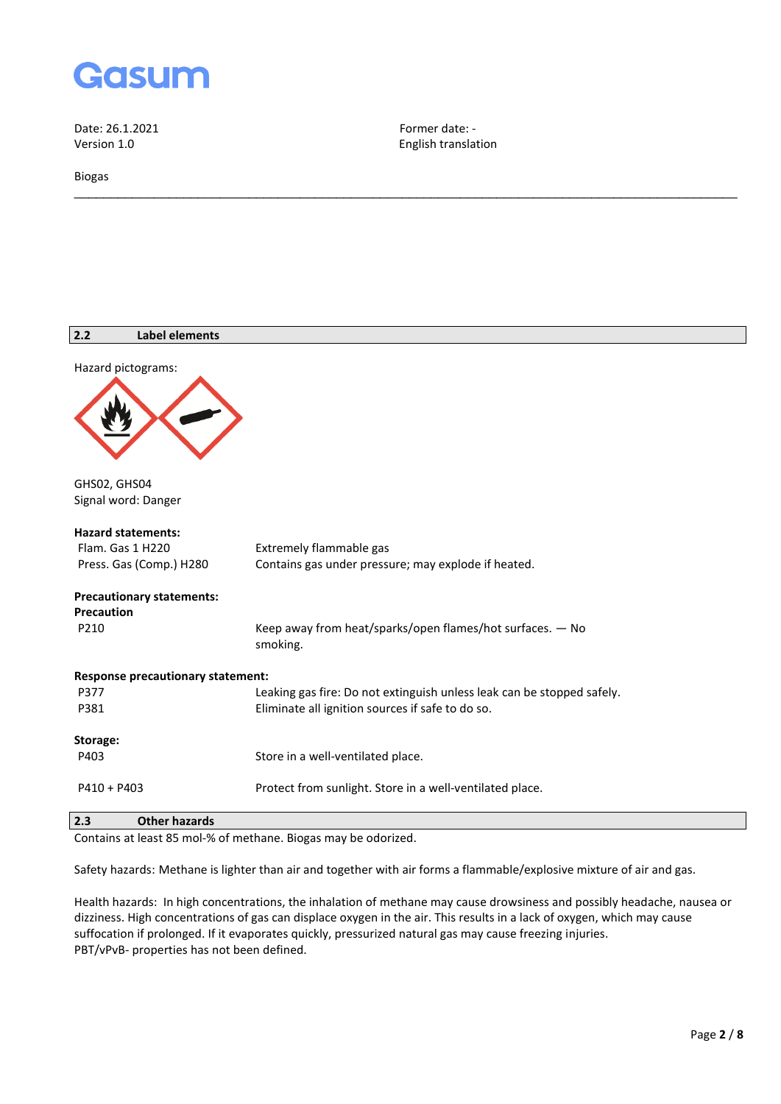

Biogas

English translation

\_\_\_\_\_\_\_\_\_\_\_\_\_\_\_\_\_\_\_\_\_\_\_\_\_\_\_\_\_\_\_\_\_\_\_\_\_\_\_\_\_\_\_\_\_\_\_\_\_\_\_\_\_\_\_\_\_\_\_\_\_\_\_\_\_\_\_\_\_\_\_\_\_\_\_\_\_\_\_\_\_\_\_\_\_\_\_\_\_\_\_

| 2.2<br><b>Label elements</b>             |                                                                        |
|------------------------------------------|------------------------------------------------------------------------|
| Hazard pictograms:                       |                                                                        |
|                                          |                                                                        |
| GHS02, GHS04<br>Signal word: Danger      |                                                                        |
| <b>Hazard statements:</b>                |                                                                        |
| Flam. Gas 1 H220                         | Extremely flammable gas                                                |
| Press. Gas (Comp.) H280                  | Contains gas under pressure; may explode if heated.                    |
| <b>Precautionary statements:</b>         |                                                                        |
| <b>Precaution</b>                        |                                                                        |
| P210                                     | Keep away from heat/sparks/open flames/hot surfaces. - No<br>smoking.  |
| <b>Response precautionary statement:</b> |                                                                        |
| P377                                     | Leaking gas fire: Do not extinguish unless leak can be stopped safely. |
| P381                                     | Eliminate all ignition sources if safe to do so.                       |
| Storage:                                 |                                                                        |
| P403                                     | Store in a well-ventilated place.                                      |
| $P410 + P403$                            | Protect from sunlight. Store in a well-ventilated place.               |
| $\sim$ $\sim$                            |                                                                        |

**2.3 Other hazards**

Contains at least 85 mol-% of methane. Biogas may be odorized.

Safety hazards: Methane is lighter than air and together with air forms a flammable/explosive mixture of air and gas.

Health hazards: In high concentrations, the inhalation of methane may cause drowsiness and possibly headache, nausea or dizziness. High concentrations of gas can displace oxygen in the air. This results in a lack of oxygen, which may cause suffocation if prolonged. If it evaporates quickly, pressurized natural gas may cause freezing injuries. PBT/vPvB- properties has not been defined.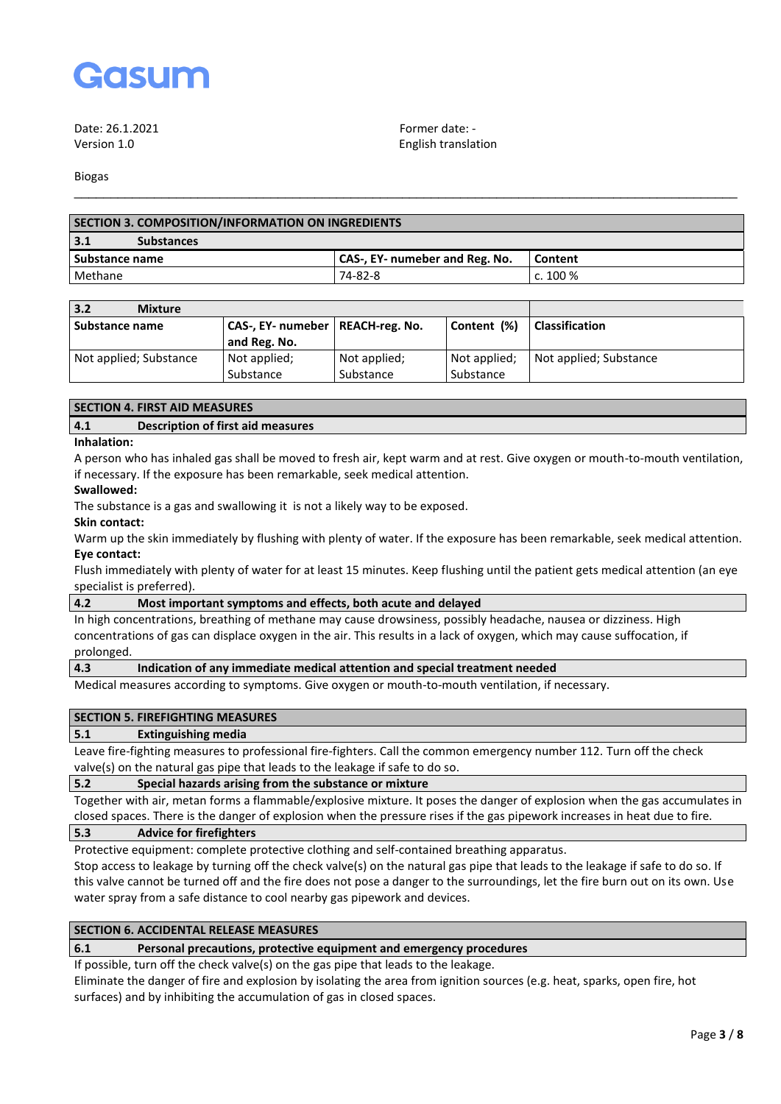

Date: 26.1.2021 **Former date:** -

Version 1.0 English translation

Biogas

| <b>SECTION 3. COMPOSITION/INFORMATION ON INGREDIENTS</b> |                                |            |  |
|----------------------------------------------------------|--------------------------------|------------|--|
| 3.1<br><b>Substances</b>                                 |                                |            |  |
| Substance name                                           | CAS-, EY- numeber and Reg. No. | Content    |  |
| Methane                                                  | 74-82-8                        | c. $100\%$ |  |
|                                                          |                                |            |  |

\_\_\_\_\_\_\_\_\_\_\_\_\_\_\_\_\_\_\_\_\_\_\_\_\_\_\_\_\_\_\_\_\_\_\_\_\_\_\_\_\_\_\_\_\_\_\_\_\_\_\_\_\_\_\_\_\_\_\_\_\_\_\_\_\_\_\_\_\_\_\_\_\_\_\_\_\_\_\_\_\_\_\_\_\_\_\_\_\_\_\_

| 3.2<br><b>Mixture</b>  |                                    |              |              |                        |
|------------------------|------------------------------------|--------------|--------------|------------------------|
| Substance name         | CAS-, EY- numeber   REACH-reg. No. |              | Content (%)  | <b>Classification</b>  |
|                        | and Reg. No.                       |              |              |                        |
| Not applied; Substance | Not applied;                       | Not applied; | Not applied; | Not applied; Substance |
|                        | Substance                          | Substance    | Substance    |                        |

#### **SECTION 4. FIRST AID MEASURES**

### **4.1 Description of first aid measures**

#### **Inhalation:**

A person who has inhaled gas shall be moved to fresh air, kept warm and at rest. Give oxygen or mouth-to-mouth ventilation, if necessary. If the exposure has been remarkable, seek medical attention.

#### **Swallowed:**

The substance is a gas and swallowing it is not a likely way to be exposed.

#### **Skin contact:**

Warm up the skin immediately by flushing with plenty of water. If the exposure has been remarkable, seek medical attention. **Eye contact:**

Flush immediately with plenty of water for at least 15 minutes. Keep flushing until the patient gets medical attention (an eye specialist is preferred).

#### **4.2 Most important symptoms and effects, both acute and delayed**

In high concentrations, breathing of methane may cause drowsiness, possibly headache, nausea or dizziness. High concentrations of gas can displace oxygen in the air. This results in a lack of oxygen, which may cause suffocation, if prolonged.

### **4.3 Indication of any immediate medical attention and special treatment needed**

Medical measures according to symptoms. Give oxygen or mouth-to-mouth ventilation, if necessary.

#### **SECTION 5. FIREFIGHTING MEASURES**

#### **5.1 Extinguishing media**

Leave fire-fighting measures to professional fire-fighters. Call the common emergency number 112. Turn off the check valve(s) on the natural gas pipe that leads to the leakage if safe to do so.

### **5.2 Special hazards arising from the substance or mixture**

Together with air, metan forms a flammable/explosive mixture. It poses the danger of explosion when the gas accumulates in closed spaces. There is the danger of explosion when the pressure rises if the gas pipework increases in heat due to fire.

# **5.3 Advice for firefighters**

Protective equipment: complete protective clothing and self-contained breathing apparatus.

Stop access to leakage by turning off the check valve(s) on the natural gas pipe that leads to the leakage if safe to do so. If this valve cannot be turned off and the fire does not pose a danger to the surroundings, let the fire burn out on its own. Use water spray from a safe distance to cool nearby gas pipework and devices.

### **SECTION 6. ACCIDENTAL RELEASE MEASURES**

#### **6.1 Personal precautions, protective equipment and emergency procedures**

If possible, turn off the check valve(s) on the gas pipe that leads to the leakage.

Eliminate the danger of fire and explosion by isolating the area from ignition sources (e.g. heat, sparks, open fire, hot surfaces) and by inhibiting the accumulation of gas in closed spaces.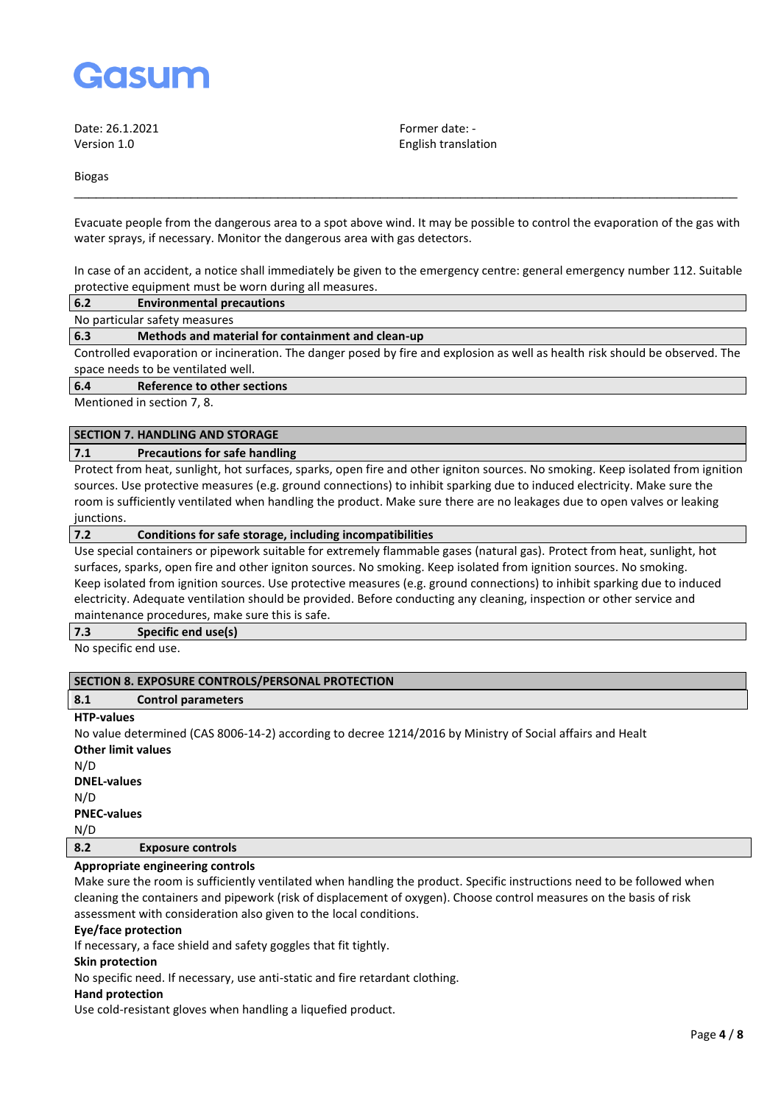

Date: 26.1.2021 **Former date:** -

Version 1.0 English translation

Biogas

Evacuate people from the dangerous area to a spot above wind. It may be possible to control the evaporation of the gas with water sprays, if necessary. Monitor the dangerous area with gas detectors.

\_\_\_\_\_\_\_\_\_\_\_\_\_\_\_\_\_\_\_\_\_\_\_\_\_\_\_\_\_\_\_\_\_\_\_\_\_\_\_\_\_\_\_\_\_\_\_\_\_\_\_\_\_\_\_\_\_\_\_\_\_\_\_\_\_\_\_\_\_\_\_\_\_\_\_\_\_\_\_\_\_\_\_\_\_\_\_\_\_\_\_

In case of an accident, a notice shall immediately be given to the emergency centre: general emergency number 112. Suitable protective equipment must be worn during all measures.

| 6.2<br><b>Environmental precautions</b> |  |
|-----------------------------------------|--|
|-----------------------------------------|--|

No particular safety measures

### **6.3 Methods and material for containment and clean-up**

Controlled evaporation or incineration. The danger posed by fire and explosion as well as health risk should be observed. The space needs to be ventilated well.

### **6.4 Reference to other sections**

Mentioned in section 7, 8.

# **SECTION 7. HANDLING AND STORAGE**

### **7.1 Precautions for safe handling**

Protect from heat, sunlight, hot surfaces, sparks, open fire and other igniton sources. No smoking. Keep isolated from ignition sources. Use protective measures (e.g. ground connections) to inhibit sparking due to induced electricity. Make sure the room is sufficiently ventilated when handling the product. Make sure there are no leakages due to open valves or leaking junctions.

#### **7.2 Conditions for safe storage, including incompatibilities**

Use special containers or pipework suitable for extremely flammable gases (natural gas). Protect from heat, sunlight, hot surfaces, sparks, open fire and other igniton sources. No smoking. Keep isolated from ignition sources. No smoking. Keep isolated from ignition sources. Use protective measures (e.g. ground connections) to inhibit sparking due to induced electricity. Adequate ventilation should be provided. Before conducting any cleaning, inspection or other service and maintenance procedures, make sure this is safe.

**7.3 Specific end use(s)**

No specific end use.

### **SECTION 8. EXPOSURE CONTROLS/PERSONAL PROTECTION**

## **8.1 Control parameters**

### **HTP-values**

No value determined (CAS 8006-14-2) according to decree 1214/2016 by Ministry of Social affairs and Healt **Other limit values** N/D **DNEL-values**

N/D **PNEC-values**

N/D

# **8.2 Exposure controls**

# **Appropriate engineering controls**

Make sure the room is sufficiently ventilated when handling the product. Specific instructions need to be followed when cleaning the containers and pipework (risk of displacement of oxygen). Choose control measures on the basis of risk assessment with consideration also given to the local conditions.

#### **Eye/face protection**

If necessary, a face shield and safety goggles that fit tightly.

#### **Skin protection**

No specific need. If necessary, use anti-static and fire retardant clothing.

# **Hand protection**

Use cold-resistant gloves when handling a liquefied product.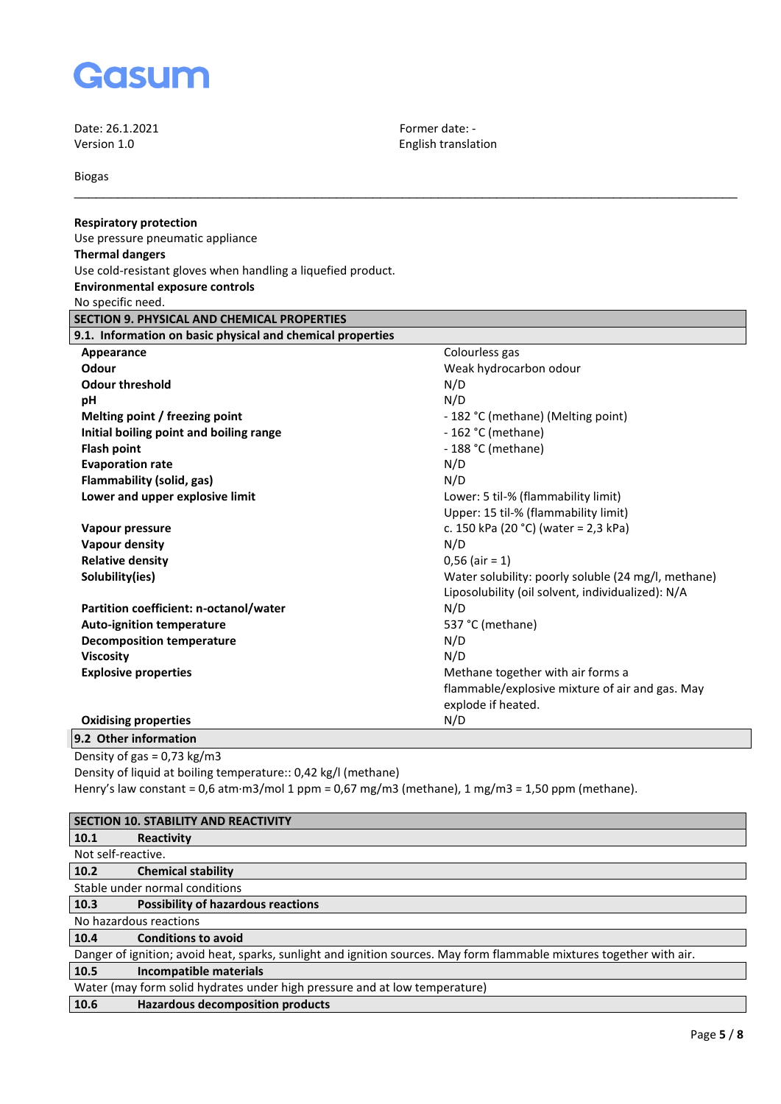

Biogas

English translation

\_\_\_\_\_\_\_\_\_\_\_\_\_\_\_\_\_\_\_\_\_\_\_\_\_\_\_\_\_\_\_\_\_\_\_\_\_\_\_\_\_\_\_\_\_\_\_\_\_\_\_\_\_\_\_\_\_\_\_\_\_\_\_\_\_\_\_\_\_\_\_\_\_\_\_\_\_\_\_\_\_\_\_\_\_\_\_\_\_\_\_

| <b>Respiratory protection</b>                                                                     |                                                     |
|---------------------------------------------------------------------------------------------------|-----------------------------------------------------|
| Use pressure pneumatic appliance                                                                  |                                                     |
| <b>Thermal dangers</b>                                                                            |                                                     |
| Use cold-resistant gloves when handling a liquefied product.                                      |                                                     |
| <b>Environmental exposure controls</b>                                                            |                                                     |
| No specific need.                                                                                 |                                                     |
| SECTION 9. PHYSICAL AND CHEMICAL PROPERTIES                                                       |                                                     |
| 9.1. Information on basic physical and chemical properties                                        |                                                     |
| Appearance                                                                                        | Colourless gas                                      |
| Odour                                                                                             | Weak hydrocarbon odour                              |
| <b>Odour threshold</b>                                                                            | N/D                                                 |
| pH                                                                                                | N/D                                                 |
| Melting point / freezing point                                                                    | - 182 °C (methane) (Melting point)                  |
| Initial boiling point and boiling range                                                           | - 162 °C (methane)                                  |
| <b>Flash point</b>                                                                                | - 188 °C (methane)                                  |
| <b>Evaporation rate</b>                                                                           | N/D                                                 |
| Flammability (solid, gas)                                                                         | N/D                                                 |
| Lower and upper explosive limit                                                                   | Lower: 5 til-% (flammability limit)                 |
|                                                                                                   | Upper: 15 til-% (flammability limit)                |
| Vapour pressure                                                                                   | c. 150 kPa (20 °C) (water = 2,3 kPa)                |
| <b>Vapour density</b>                                                                             | N/D                                                 |
| <b>Relative density</b>                                                                           | $0,56$ (air = 1)                                    |
| Solubility(ies)                                                                                   | Water solubility: poorly soluble (24 mg/l, methane) |
|                                                                                                   | Liposolubility (oil solvent, individualized): N/A   |
| Partition coefficient: n-octanol/water                                                            | N/D                                                 |
| <b>Auto-ignition temperature</b>                                                                  | 537 °C (methane)                                    |
| <b>Decomposition temperature</b>                                                                  | N/D                                                 |
| <b>Viscosity</b>                                                                                  | N/D                                                 |
| <b>Explosive properties</b>                                                                       | Methane together with air forms a                   |
|                                                                                                   | flammable/explosive mixture of air and gas. May     |
|                                                                                                   | explode if heated.                                  |
| <b>Oxidising properties</b>                                                                       | N/D                                                 |
| 9.2 Other information                                                                             |                                                     |
| Density of gas = $0.73$ kg/m3                                                                     |                                                     |
| Density of liquid at boiling temperature:: 0,42 kg/l (methane)                                    |                                                     |
| Henry's law constant = 0,6 atm·m3/mol 1 ppm = 0,67 mg/m3 (methane), 1 mg/m3 = 1,50 ppm (methane). |                                                     |
|                                                                                                   |                                                     |
| <b>SECTION 10. STABILITY AND REACTIVITY</b>                                                       |                                                     |
|                                                                                                   |                                                     |

**10.1 Reactivity** Not self-reactive.<br>10.2 Chem **10.2 Chemical stability**

Stable under normal conditions<br>10.3 Possibility of hazard **10.3 Possibility of hazardous reactions**

No hazardous reactions<br>10.4 **Conditions to Conditions** 

**10.4 Conditions to avoid**

|      |                        | Danger of ignition; avoid heat, sparks, sunlight and ignition sources. May form flammable mixtures together with air. |
|------|------------------------|-----------------------------------------------------------------------------------------------------------------------|
| 10.5 | Incompatible materials |                                                                                                                       |

| Water (may form solid hydrates under high pressure and at low temperature) |  |
|----------------------------------------------------------------------------|--|
|----------------------------------------------------------------------------|--|

**10.6 Hazardous decomposition products**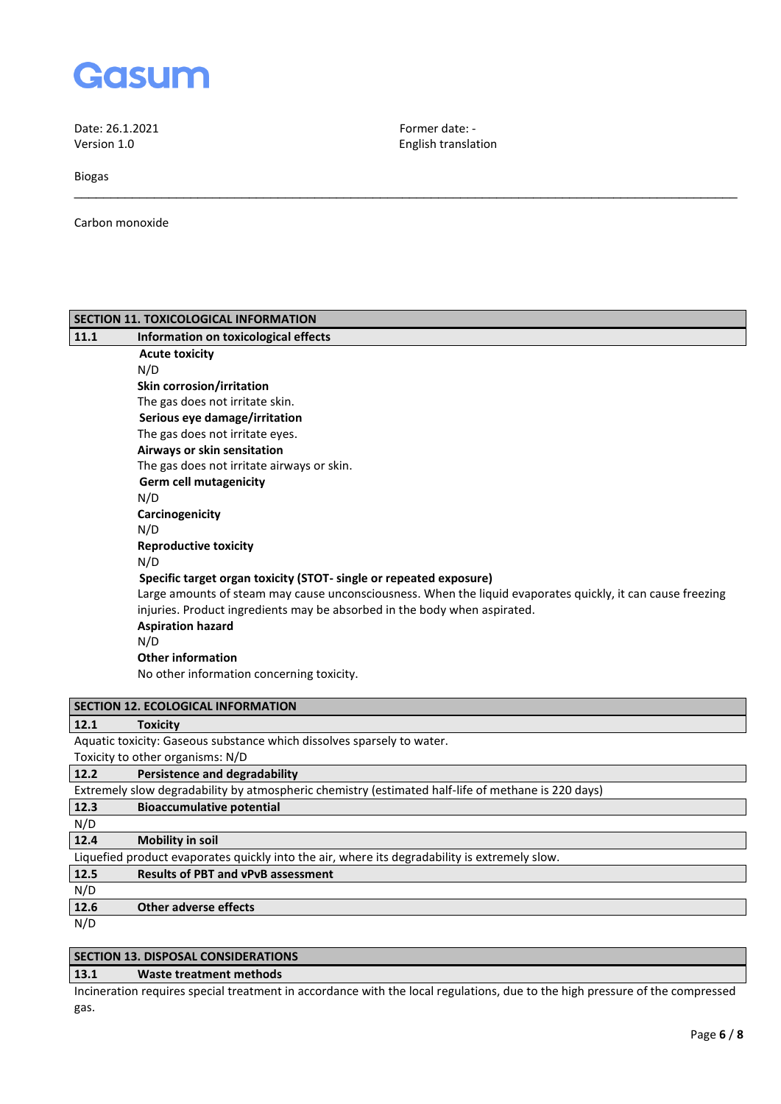

Biogas

Carbon monoxide

|      | SECTION 11. TOXICOLOGICAL INFORMATION                                                                       |
|------|-------------------------------------------------------------------------------------------------------------|
| 11.1 | Information on toxicological effects                                                                        |
|      | <b>Acute toxicity</b>                                                                                       |
|      | N/D                                                                                                         |
|      | Skin corrosion/irritation                                                                                   |
|      | The gas does not irritate skin.                                                                             |
|      | Serious eye damage/irritation                                                                               |
|      | The gas does not irritate eyes.                                                                             |
|      | Airways or skin sensitation                                                                                 |
|      | The gas does not irritate airways or skin.                                                                  |
|      | <b>Germ cell mutagenicity</b>                                                                               |
|      | N/D                                                                                                         |
|      | Carcinogenicity                                                                                             |
|      | N/D                                                                                                         |
|      | <b>Reproductive toxicity</b>                                                                                |
|      | N/D                                                                                                         |
|      | Specific target organ toxicity (STOT- single or repeated exposure)                                          |
|      | Large amounts of steam may cause unconsciousness. When the liquid evaporates quickly, it can cause freezing |
|      | injuries. Product ingredients may be absorbed in the body when aspirated.                                   |
|      | <b>Aspiration hazard</b>                                                                                    |
|      | N/D                                                                                                         |
|      | <b>Other information</b>                                                                                    |
|      | No other information concerning toxicity.                                                                   |
|      | <b>SECTION 12. ECOLOGICAL INFORMATION</b>                                                                   |
| 12.1 | <b>Toxicity</b>                                                                                             |
|      | Aquatic toxicity: Gaseous substance which dissolves sparsely to water.                                      |
|      | Toxicity to other organisms: N/D                                                                            |
| 12.2 | <b>Persistence and degradability</b>                                                                        |
|      | Extremely slow degradability by atmospheric chemistry (estimated half-life of methane is 220 days)          |
| 12.3 | <b>Bioaccumulative potential</b>                                                                            |
| N/D  |                                                                                                             |
| 12.4 | <b>Mobility in soil</b>                                                                                     |
|      | Liquefied product evaporates quickly into the air, where its degradability is extremely slow.               |
| 12.5 | <b>Results of PBT and vPvB assessment</b>                                                                   |
| N/D  |                                                                                                             |
| 12.6 | <b>Other adverse effects</b>                                                                                |
| N/D  |                                                                                                             |
|      | <b>SECTION 13. DISPOSAL CONSIDERATIONS</b>                                                                  |
|      |                                                                                                             |

English translation

\_\_\_\_\_\_\_\_\_\_\_\_\_\_\_\_\_\_\_\_\_\_\_\_\_\_\_\_\_\_\_\_\_\_\_\_\_\_\_\_\_\_\_\_\_\_\_\_\_\_\_\_\_\_\_\_\_\_\_\_\_\_\_\_\_\_\_\_\_\_\_\_\_\_\_\_\_\_\_\_\_\_\_\_\_\_\_\_\_\_\_

## **13.1 Waste treatment methods**

Incineration requires special treatment in accordance with the local regulations, due to the high pressure of the compressed gas.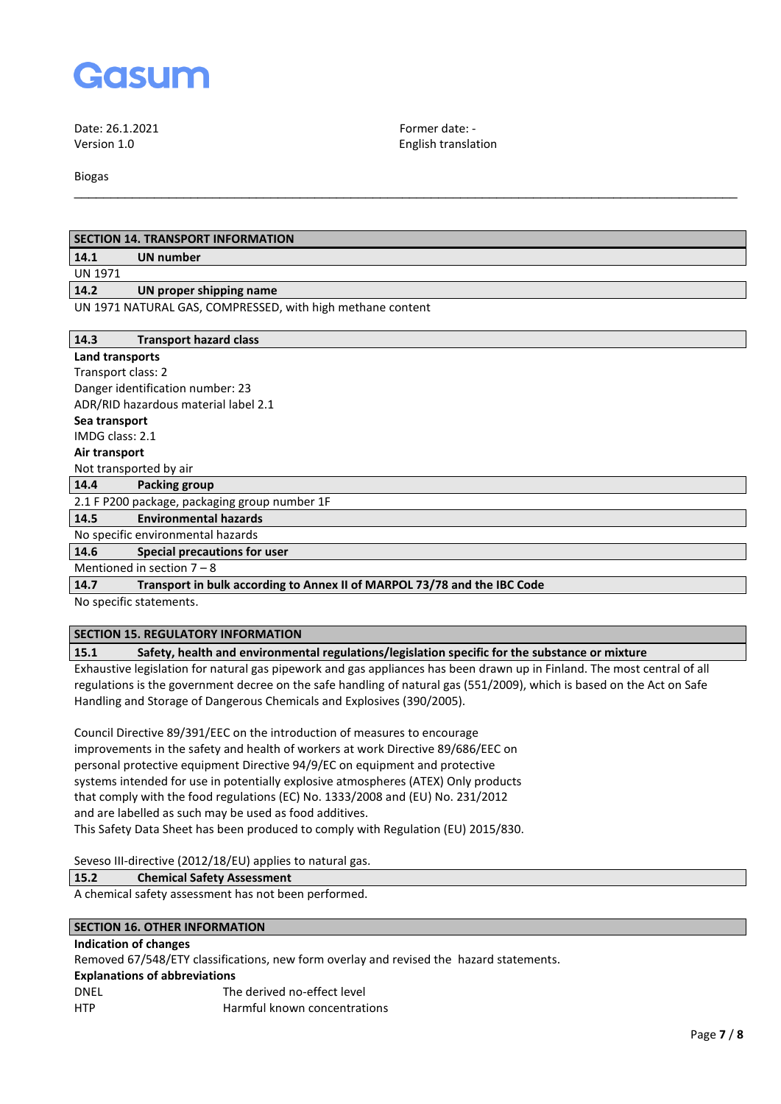

Date: 26.1.2021 Former date: -

Version 1.0 English translation

Biogas

| <b>SECTION 14. TRANSPORT INFORMATION</b>                                         |  |  |
|----------------------------------------------------------------------------------|--|--|
| <b>UN number</b><br>14.1                                                         |  |  |
| <b>UN 1971</b>                                                                   |  |  |
| 14.2<br>UN proper shipping name                                                  |  |  |
| UN 1971 NATURAL GAS, COMPRESSED, with high methane content                       |  |  |
| 14.3<br><b>Transport hazard class</b>                                            |  |  |
| Land transports                                                                  |  |  |
| Transport class: 2                                                               |  |  |
| Danger identification number: 23                                                 |  |  |
| ADR/RID hazardous material label 2.1                                             |  |  |
| Sea transport                                                                    |  |  |
| IMDG class: 2.1                                                                  |  |  |
| Air transport                                                                    |  |  |
| Not transported by air                                                           |  |  |
| 14.4<br>Packing group                                                            |  |  |
| 2.1 F P200 package, packaging group number 1F                                    |  |  |
| <b>Environmental hazards</b><br>14.5                                             |  |  |
| No specific environmental hazards                                                |  |  |
| <b>Special precautions for user</b><br>14.6                                      |  |  |
| Mentioned in section $7 - 8$                                                     |  |  |
| 14.7<br>Transport in bulk according to Annex II of MARPOL 73/78 and the IBC Code |  |  |
| No specific statements.                                                          |  |  |

\_\_\_\_\_\_\_\_\_\_\_\_\_\_\_\_\_\_\_\_\_\_\_\_\_\_\_\_\_\_\_\_\_\_\_\_\_\_\_\_\_\_\_\_\_\_\_\_\_\_\_\_\_\_\_\_\_\_\_\_\_\_\_\_\_\_\_\_\_\_\_\_\_\_\_\_\_\_\_\_\_\_\_\_\_\_\_\_\_\_\_

## **SECTION 15. REGULATORY INFORMATION**

## **15.1 Safety, health and environmental regulations/legislation specific for the substance or mixture**

Exhaustive legislation for natural gas pipework and gas appliances has been drawn up in Finland. The most central of all regulations is the government decree on the safe handling of natural gas (551/2009), which is based on the Act on Safe Handling and Storage of Dangerous Chemicals and Explosives (390/2005).

Council Directive 89/391/EEC on the introduction of measures to encourage improvements in the safety and health of workers at work Directive 89/686/EEC on personal protective equipment Directive 94/9/EC on equipment and protective systems intended for use in potentially explosive atmospheres (ATEX) Only products that comply with the food regulations (EC) No. 1333/2008 and (EU) No. 231/2012 and are labelled as such may be used as food additives. This Safety Data Sheet has been produced to comply with Regulation (EU) 2015/830.

Seveso III-directive (2012/18/EU) applies to natural gas.

#### **15.2 Chemical Safety Assessment**

A chemical safety assessment has not been performed.

# **SECTION 16. OTHER INFORMATION**

# **Indication of changes**

Removed 67/548/ETY classifications, new form overlay and revised the hazard statements.

#### **Explanations of abbreviations**

| DNFI       | The derived no-effect level  |
|------------|------------------------------|
| <b>HTP</b> | Harmful known concentrations |